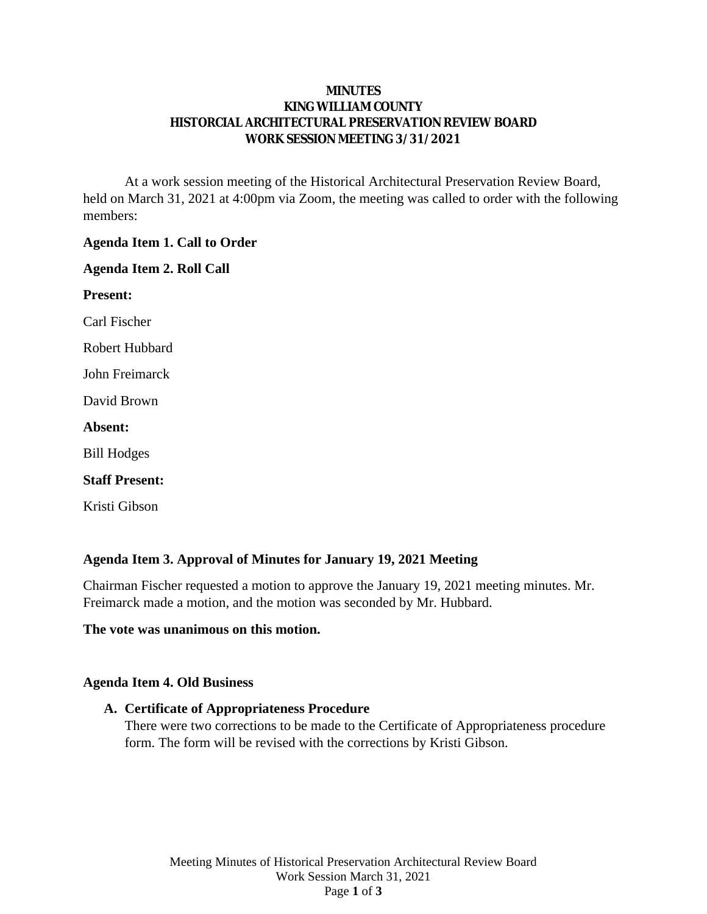### **MINUTES KING WILLIAM COUNTY HISTORCIAL ARCHITECTURAL PRESERVATION REVIEW BOARD WORK SESSION MEETING 3/31/2021**

At a work session meeting of the Historical Architectural Preservation Review Board, held on March 31, 2021 at 4:00pm via Zoom, the meeting was called to order with the following members:

### **Agenda Item 1. Call to Order**

#### **Agenda Item 2. Roll Call**

**Present:**

Carl Fischer

Robert Hubbard

John Freimarck

David Brown

**Absent:**

Bill Hodges

#### **Staff Present:**

Kristi Gibson

## **Agenda Item 3. Approval of Minutes for January 19, 2021 Meeting**

Chairman Fischer requested a motion to approve the January 19, 2021 meeting minutes. Mr. Freimarck made a motion, and the motion was seconded by Mr. Hubbard.

#### **The vote was unanimous on this motion.**

#### **Agenda Item 4. Old Business**

#### **A. Certificate of Appropriateness Procedure**

There were two corrections to be made to the Certificate of Appropriateness procedure form. The form will be revised with the corrections by Kristi Gibson.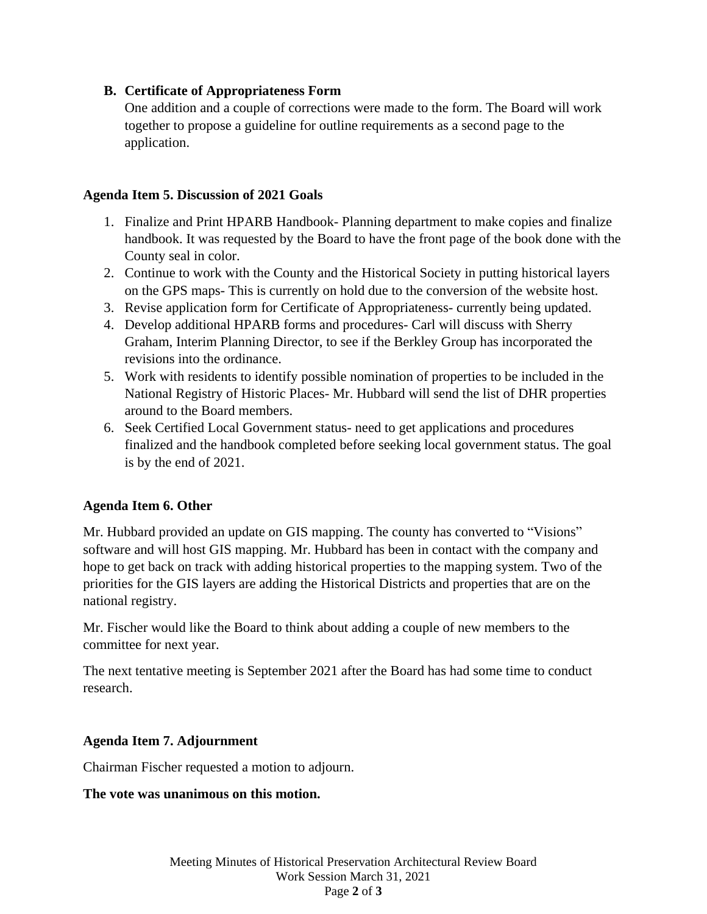## **B. Certificate of Appropriateness Form**

One addition and a couple of corrections were made to the form. The Board will work together to propose a guideline for outline requirements as a second page to the application.

## **Agenda Item 5. Discussion of 2021 Goals**

- 1. Finalize and Print HPARB Handbook- Planning department to make copies and finalize handbook. It was requested by the Board to have the front page of the book done with the County seal in color.
- 2. Continue to work with the County and the Historical Society in putting historical layers on the GPS maps- This is currently on hold due to the conversion of the website host.
- 3. Revise application form for Certificate of Appropriateness- currently being updated.
- 4. Develop additional HPARB forms and procedures- Carl will discuss with Sherry Graham, Interim Planning Director, to see if the Berkley Group has incorporated the revisions into the ordinance.
- 5. Work with residents to identify possible nomination of properties to be included in the National Registry of Historic Places- Mr. Hubbard will send the list of DHR properties around to the Board members.
- 6. Seek Certified Local Government status- need to get applications and procedures finalized and the handbook completed before seeking local government status. The goal is by the end of 2021.

# **Agenda Item 6. Other**

Mr. Hubbard provided an update on GIS mapping. The county has converted to "Visions" software and will host GIS mapping. Mr. Hubbard has been in contact with the company and hope to get back on track with adding historical properties to the mapping system. Two of the priorities for the GIS layers are adding the Historical Districts and properties that are on the national registry.

Mr. Fischer would like the Board to think about adding a couple of new members to the committee for next year.

The next tentative meeting is September 2021 after the Board has had some time to conduct research.

# **Agenda Item 7. Adjournment**

Chairman Fischer requested a motion to adjourn.

**The vote was unanimous on this motion.**